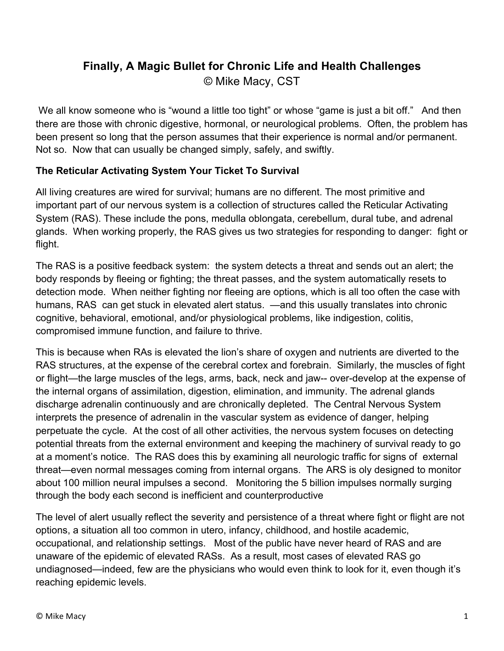# **Finally, A Magic Bullet for Chronic Life and Health Challenges** © Mike Macy, CST

We all know someone who is "wound a little too tight" or whose "game is just a bit off." And then there are those with chronic digestive, hormonal, or neurological problems. Often, the problem has been present so long that the person assumes that their experience is normal and/or permanent. Not so. Now that can usually be changed simply, safely, and swiftly.

# **The Reticular Activating System Your Ticket To Survival**

All living creatures are wired for survival; humans are no different. The most primitive and important part of our nervous system is a collection of structures called the Reticular Activating System (RAS). These include the pons, medulla oblongata, cerebellum, dural tube, and adrenal glands. When working properly, the RAS gives us two strategies for responding to danger: fight or flight.

The RAS is a positive feedback system: the system detects a threat and sends out an alert; the body responds by fleeing or fighting; the threat passes, and the system automatically resets to detection mode. When neither fighting nor fleeing are options, which is all too often the case with humans, RAS can get stuck in elevated alert status. —and this usually translates into chronic cognitive, behavioral, emotional, and/or physiological problems, like indigestion, colitis, compromised immune function, and failure to thrive.

This is because when RAs is elevated the lion's share of oxygen and nutrients are diverted to the RAS structures, at the expense of the cerebral cortex and forebrain. Similarly, the muscles of fight or flight—the large muscles of the legs, arms, back, neck and jaw-- over-develop at the expense of the internal organs of assimilation, digestion, elimination, and immunity. The adrenal glands discharge adrenalin continuously and are chronically depleted. The Central Nervous System interprets the presence of adrenalin in the vascular system as evidence of danger, helping perpetuate the cycle. At the cost of all other activities, the nervous system focuses on detecting potential threats from the external environment and keeping the machinery of survival ready to go at a moment's notice. The RAS does this by examining all neurologic traffic for signs of external threat—even normal messages coming from internal organs. The ARS is oly designed to monitor about 100 million neural impulses a second. Monitoring the 5 billion impulses normally surging through the body each second is inefficient and counterproductive

The level of alert usually reflect the severity and persistence of a threat where fight or flight are not options, a situation all too common in utero, infancy, childhood, and hostile academic, occupational, and relationship settings. Most of the public have never heard of RAS and are unaware of the epidemic of elevated RASs. As a result, most cases of elevated RAS go undiagnosed—indeed, few are the physicians who would even think to look for it, even though it's reaching epidemic levels.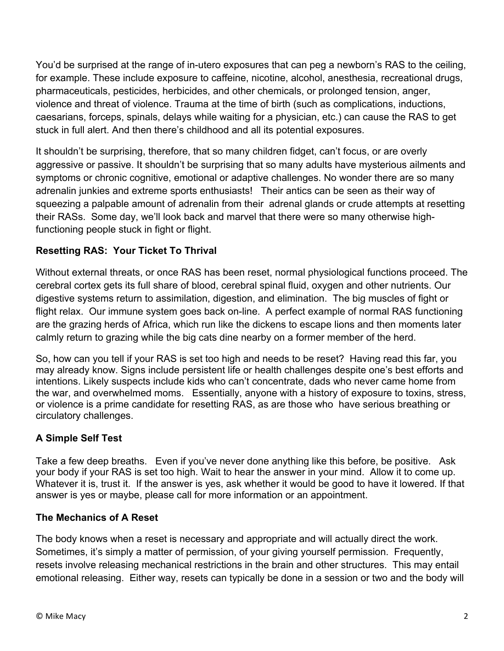You'd be surprised at the range of in-utero exposures that can peg a newborn's RAS to the ceiling, for example. These include exposure to caffeine, nicotine, alcohol, anesthesia, recreational drugs, pharmaceuticals, pesticides, herbicides, and other chemicals, or prolonged tension, anger, violence and threat of violence. Trauma at the time of birth (such as complications, inductions, caesarians, forceps, spinals, delays while waiting for a physician, etc.) can cause the RAS to get stuck in full alert. And then there's childhood and all its potential exposures.

It shouldn't be surprising, therefore, that so many children fidget, can't focus, or are overly aggressive or passive. It shouldn't be surprising that so many adults have mysterious ailments and symptoms or chronic cognitive, emotional or adaptive challenges. No wonder there are so many adrenalin junkies and extreme sports enthusiasts! Their antics can be seen as their way of squeezing a palpable amount of adrenalin from their adrenal glands or crude attempts at resetting their RASs. Some day, we'll look back and marvel that there were so many otherwise highfunctioning people stuck in fight or flight.

## **Resetting RAS: Your Ticket To Thrival**

Without external threats, or once RAS has been reset, normal physiological functions proceed. The cerebral cortex gets its full share of blood, cerebral spinal fluid, oxygen and other nutrients. Our digestive systems return to assimilation, digestion, and elimination. The big muscles of fight or flight relax. Our immune system goes back on-line. A perfect example of normal RAS functioning are the grazing herds of Africa, which run like the dickens to escape lions and then moments later calmly return to grazing while the big cats dine nearby on a former member of the herd.

So, how can you tell if your RAS is set too high and needs to be reset? Having read this far, you may already know. Signs include persistent life or health challenges despite one's best efforts and intentions. Likely suspects include kids who can't concentrate, dads who never came home from the war, and overwhelmed moms. Essentially, anyone with a history of exposure to toxins, stress, or violence is a prime candidate for resetting RAS, as are those who have serious breathing or circulatory challenges.

#### **A Simple Self Test**

Take a few deep breaths. Even if you've never done anything like this before, be positive. Ask your body if your RAS is set too high. Wait to hear the answer in your mind. Allow it to come up. Whatever it is, trust it. If the answer is yes, ask whether it would be good to have it lowered. If that answer is yes or maybe, please call for more information or an appointment.

#### **The Mechanics of A Reset**

The body knows when a reset is necessary and appropriate and will actually direct the work. Sometimes, it's simply a matter of permission, of your giving yourself permission. Frequently, resets involve releasing mechanical restrictions in the brain and other structures. This may entail emotional releasing. Either way, resets can typically be done in a session or two and the body will